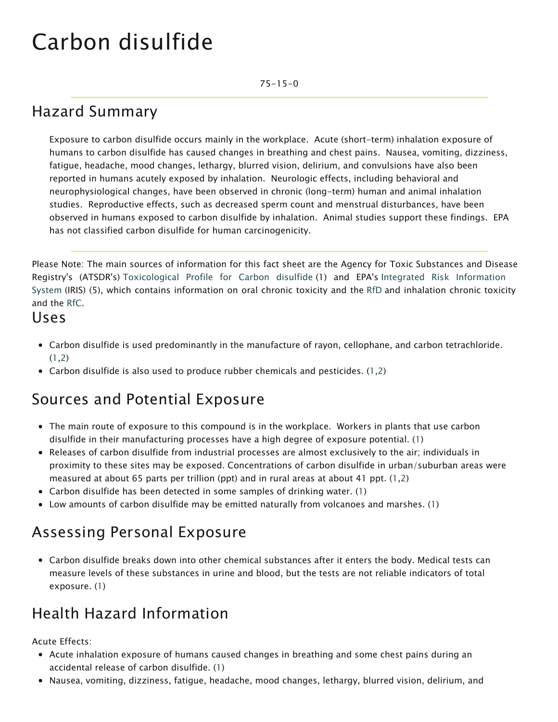# Carbon disulfide

75-15-0

### Hazard Summary

Exposure to carbon disulfide occurs mainly in the workplace. Acute (short-term) inhalation exposure of humans to carbon disulfide has caused changes in breathing and chest pains. Nausea, vomiting, dizziness, fatigue, headache, mood changes, lethargy, blurred vision, delirium, and convulsions have also been reported in humans acutely exposed by inhalation. Neurologic effects, including behavioral and neurophysiological changes, have been observed in chronic (long-term) human and animal inhalation studies. Reproductive effects, such as decreased sperm count and menstrual disturbances, have been observed in humans exposed to carbon disulfide by inhalation. Animal studies support these findings. EPA has not classified carbon disulfide for human carcinogenicity.

Please Note: The main sources of information for this fact sheet are the Agency for Toxic Substances and Disease Registry's (ATSDR's) Toxicological Profile for Carbon disulfide (1) and EPA's Integrated Risk Information System (IRIS) (5), which contains information on oral chronic toxicity and the [RfD](https://www.epa.gov/haps/health-effects-notebook-glossary) and inhalation chronic toxicity and the [RfC](https://www.epa.gov/haps/health-effects-notebook-glossary).

#### Uses

- Carbon disulfide is used predominantly in the manufacture of rayon, cellophane, and carbon tetrachloride.  $(1,2)$
- Carbon disulfide is also used to produce rubber chemicals and pesticides. (1,2)

#### Sources and Potential Exposure

- The main route of exposure to this compound is in the workplace. Workers in plants that use carbon disulfide in their manufacturing processes have a high degree of exposure potential. (1)
- Releases of carbon disulfide from industrial processes are almost exclusively to the air; individuals in proximity to these sites may be exposed. Concentrations of carbon disulfide in urban/suburban areas were measured at about 65 parts per trillion (ppt) and in rural areas at about 41 ppt. (1,2)
- Carbon disulfide has been detected in some samples of drinking water. (1)
- Low amounts of carbon disulfide may be emitted naturally from volcanoes and marshes. (1)

#### Assessing Personal Exposure

Carbon disulfide breaks down into other chemical substances after it enters the body. Medical tests can measure levels of these substances in urine and blood, but the tests are not reliable indicators of total exposure. (1)

#### Health Hazard Information

Acute Effects:

- Acute inhalation exposure of humans caused changes in breathing and some chest pains during an accidental release of carbon disulfide. (1)
- Nausea, vomiting, dizziness, fatigue, headache, mood changes, lethargy, blurred vision, delirium, and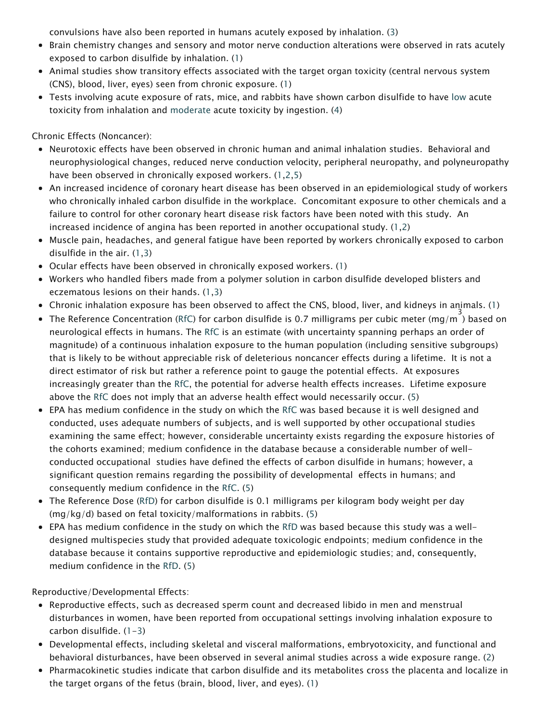convulsions have also been reported in humans acutely exposed by inhalation. (3)

- Brain chemistry changes and sensory and motor nerve conduction alterations were observed in rats acutely exposed to carbon disulfide by inhalation. (1)
- Animal studies show transitory effects associated with the target organ toxicity (central nervous system (CNS), blood, liver, eyes) seen from chronic exposure. (1)
- Tests involving acute exposure of rats, mice, and rabbits have shown carbon disulfide to have [low](https://www.epa.gov/haps/about-health-effects-fact-sheets) acute toxicity from inhalation and [moderate](https://www.epa.gov/haps/about-health-effects-fact-sheets) acute toxicity by ingestion. (4)

Chronic Effects (Noncancer):

- Neurotoxic effects have been observed in chronic human and animal inhalation studies. Behavioral and neurophysiological changes, reduced nerve conduction velocity, peripheral neuropathy, and polyneuropathy have been observed in chronically exposed workers. (1,2,5)
- An increased incidence of coronary heart disease has been observed in an epidemiological study of workers who chronically inhaled carbon disulfide in the workplace. Concomitant exposure to other chemicals and a failure to control for other coronary heart disease risk factors have been noted with this study. An increased incidence of angina has been reported in another occupational study. (1,2)
- Muscle pain, headaches, and general fatigue have been reported by workers chronically exposed to carbon disulfide in the air. (1,3)
- Ocular effects have been observed in chronically exposed workers. (1)
- Workers who handled fibers made from a polymer solution in carbon disulfide developed blisters and eczematous lesions on their hands. (1,3)
- Chronic inhalation exposure has been observed to affect the CNS, blood, liver, and kidneys in animals. (1)
- The Reference Concentration ([RfC](https://www.epa.gov/haps/health-effects-notebook-glossary)) for carbon disulfide is 0.7 milligrams per cubic meter (mg/m  $^3$ ) based on neurological effects in humans. The [RfC](https://www.epa.gov/haps/health-effects-notebook-glossary) is an estimate (with uncertainty spanning perhaps an order of magnitude) of a continuous inhalation exposure to the human population (including sensitive subgroups) that is likely to be without appreciable risk of deleterious noncancer effects during a lifetime. It is not a direct estimator of risk but rather a reference point to gauge the potential effects. At exposures increasingly greater than the [RfC,](https://www.epa.gov/haps/health-effects-notebook-glossary) the potential for adverse health effects increases. Lifetime exposure above the [RfC](https://www.epa.gov/haps/health-effects-notebook-glossary) does not imply that an adverse health effect would necessarily occur. (5)
- EPA has medium confidence in the study on which the [RfC](https://www.epa.gov/haps/health-effects-notebook-glossary) was based because it is well designed and conducted, uses adequate numbers of subjects, and is well supported by other occupational studies examining the same effect; however, considerable uncertainty exists regarding the exposure histories of the cohorts examined; medium confidence in the database because a considerable number of wellconducted occupational studies have defined the effects of carbon disulfide in humans; however, a significant question remains regarding the possibility of developmental effects in humans; and consequently medium confidence in the [RfC.](https://www.epa.gov/haps/health-effects-notebook-glossary) (5)
- The Reference Dose [\(RfD\)](https://www.epa.gov/haps/health-effects-notebook-glossary) for carbon disulfide is 0.1 milligrams per kilogram body weight per day (mg/kg/d) based on fetal toxicity/malformations in rabbits. (5)
- EPA has medium confidence in the study on which the [RfD](https://www.epa.gov/haps/health-effects-notebook-glossary) was based because this study was a welldesigned multispecies study that provided adequate toxicologic endpoints; medium confidence in the database because it contains supportive reproductive and epidemiologic studies; and, consequently, medium confidence in the [RfD.](https://www.epa.gov/haps/health-effects-notebook-glossary) (5)

Reproductive/Developmental Effects:

- Reproductive effects, such as decreased sperm count and decreased libido in men and menstrual disturbances in women, have been reported from occupational settings involving inhalation exposure to carbon disulfide. (1-3)
- Developmental effects, including skeletal and visceral malformations, embryotoxicity, and functional and behavioral disturbances, have been observed in several animal studies across a wide exposure range. (2)
- Pharmacokinetic studies indicate that carbon disulfide and its metabolites cross the placenta and localize in the target organs of the fetus (brain, blood, liver, and eyes). (1)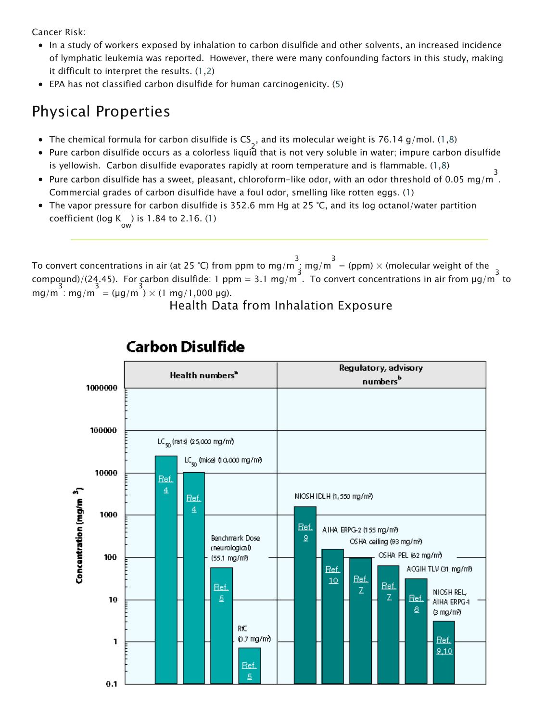Cancer Risk:

- In a study of workers exposed by inhalation to carbon disulfide and other solvents, an increased incidence of lymphatic leukemia was reported. However, there were many confounding factors in this study, making it difficult to interpret the results. (1,2)
- EPA has not classified carbon disulfide for human carcinogenicity. (5)

## Physical Properties

- The chemical formula for carbon disulfide is  $\textsf{CS}_\textsf{{\tiny A}}$ , and its molecular weight is 76.14 g/mol. (1,8)
- 2 Pure carbon disulfide occurs as a colorless liquid that is not very soluble in water; impure carbon disulfide is yellowish. Carbon disulfide evaporates rapidly at room temperature and is flammable. (1,8)
- Pure carbon disulfide has a sweet, pleasant, chloroform-like odor, with an odor threshold of 0.05 mg/m<sup>3</sup>. Commercial grades of carbon disulfide have a foul odor, smelling like rotten eggs. (1)
- The vapor pressure for carbon disulfide is 352.6 mm Hg at 25 °C, and its log octanol/water partition coefficient (log K ) is 1.84 to 2.16. (1)

To convert concentrations in air (at 25 °C) from ppm to mg/m  $\frac{3}{4}$  mg/m  $\frac{3}{4}$  (ppm)  $\times$  (molecular weight of the compound)/(24.45). For carbon disulfide: 1 ppm = 3.1 mg/m<sup>3</sup>. To convert concentrations in air from  $\mu$ g/m<sup>3</sup> to  $mg/m : mg/m = (\mu g/m) \times (1 mg/1,000 \mu g).$ 

Health Data from Inhalation Exposure



#### **Carbon Disulfide**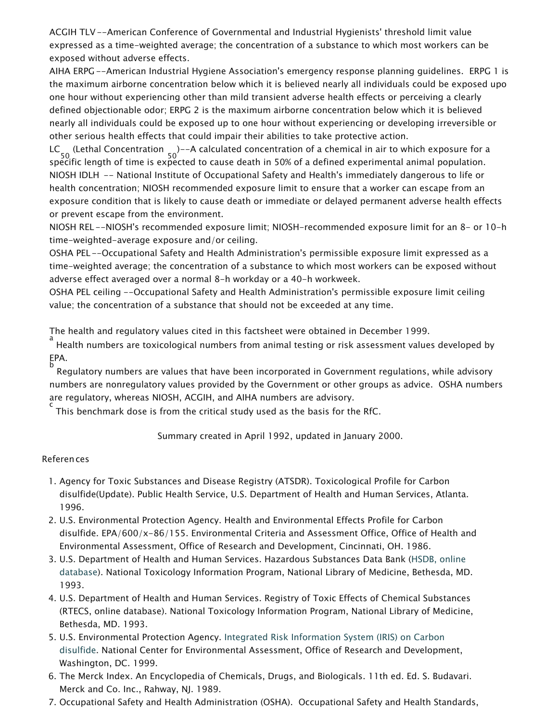ACGIH TLV --American Conference of Governmental and Industrial Hygienists' threshold limit value expressed as a time-weighted average; the concentration of a substance to which most workers can be exposed without adverse effects.

AIHA ERPG --American Industrial Hygiene Association's emergency response planning guidelines. ERPG 1 is the maximum airborne concentration below which it is believed nearly all individuals could be exposed upo one hour without experiencing other than mild transient adverse health effects or perceiving a clearly defined objectionable odor; ERPG 2 is the maximum airborne concentration below which it is believed nearly all individuals could be exposed up to one hour without experiencing or developing irreversible or other serious health effects that could impair their abilities to take protective action.

LC<sub>co</sub> (Lethal Concentration <sub>co</sub>)--A calculated concentration of a chemical in air to which exposure for a 50 50 specific length of time is expected to cause death in 50% of a defined experimental animal population. NIOSH IDLH -- National Institute of Occupational Safety and Health's immediately dangerous to life or health concentration; NIOSH recommended exposure limit to ensure that a worker can escape from an exposure condition that is likely to cause death or immediate or delayed permanent adverse health effects or prevent escape from the environment.

NIOSH REL --NIOSH's recommended exposure limit; NIOSH-recommended exposure limit for an 8- or 10-h time-weighted-average exposure and/or ceiling.

OSHA PEL--Occupational Safety and Health Administration's permissible exposure limit expressed as a time-weighted average; the concentration of a substance to which most workers can be exposed without adverse effect averaged over a normal 8-h workday or a 40-h workweek.

OSHA PEL ceiling --Occupational Safety and Health Administration's permissible exposure limit ceiling value; the concentration of a substance that should not be exceeded at any time.

The health and regulatory values cited in this factsheet were obtained in December 1999.

a<br>Health numbers are toxicological numbers from animal testing or risk assessment values developed by " EPA.

b Regulatory numbers are values that have been incorporated in Government regulations, while advisory numbers are nonregulatory values provided by the Government or other groups as advice. OSHA numbers are regulatory, whereas NIOSH, ACGIH, and AIHA numbers are advisory.

c This benchmark dose is from the critical study used as the basis for the RfC.

Summary created in April 1992, updated in January 2000.

#### References

- 1. Agency for Toxic Substances and Disease Registry (ATSDR). Toxicological Profile for Carbon disulfide(Update). Public Health Service, U.S. Department of Health and Human Services, Atlanta. 1996.
- 2. [U.S. Environmental Protection Agency. Health and Environmental Effects Profile for Carbon](http://toxnet.nlm.nih.gov/) disulfide. EPA/600/x-86/155. Environmental Criteria and Assessment Office, Office of Health and Environmental Assessment, Office of Research and Development, Cincinnati, OH. 1986.
- 3. U.S. Department of Health and Human Services. Hazardous Substances Data Bank (HSDB, online database). National Toxicology Information Program, National Library of Medicine, Bethesda, MD. 1993.
- 4. U.S. Department of Health and Human Services. Registry of Toxic Effects of Chemical Substances (RTECS, online database). National Toxicology Information Program, National Library of Medicine, Bethesda, MD. 1993.
- 5.U[.S. Environmental Protection Agency. Integrated Risk Information System \(IRIS\) on Carbon](https://www.epa.gov/iris/subst/0217.htm) disulfide. National Center for Environmental Assessment, Office of Research and Development, Washington, DC. 1999.
- 6. The Merck Index. An Encyclopedia of Chemicals, Drugs, and Biologicals. 11th ed. Ed. S. Budavari. Merck and Co. Inc., Rahway, NJ. 1989.
- 7. Occupational Safety and Health Administration (OSHA). Occupational Safety and Health Standards,